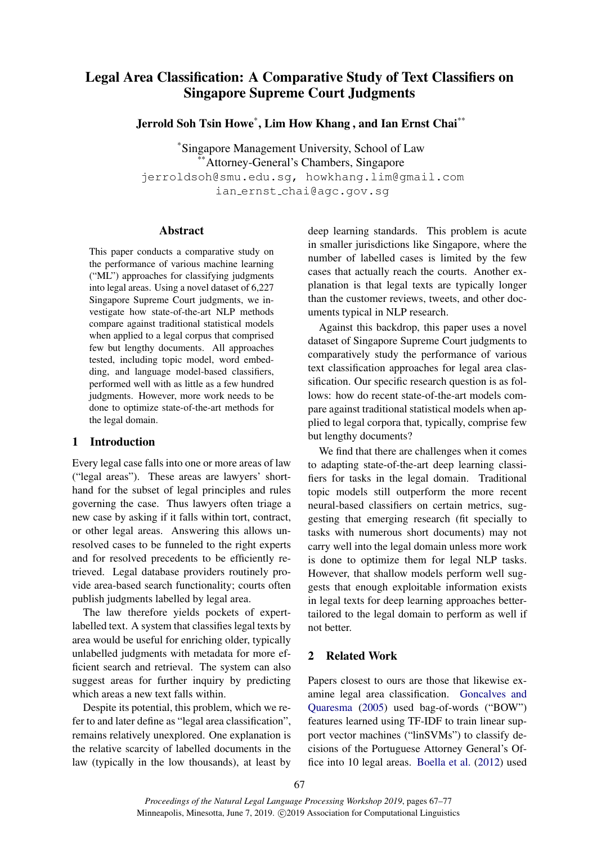# Legal Area Classification: A Comparative Study of Text Classifiers on Singapore Supreme Court Judgments

Jerrold Soh Tsin Howe\* , Lim How Khang , and Ian Ernst Chai\*\*

\*Singapore Management University, School of Law \*Attorney-General's Chambers, Singapore jerroldsoh@smu.edu.sg, howkhang.lim@gmail.com ian ernst chai@agc.gov.sg

## Abstract

This paper conducts a comparative study on the performance of various machine learning ("ML") approaches for classifying judgments into legal areas. Using a novel dataset of 6,227 Singapore Supreme Court judgments, we investigate how state-of-the-art NLP methods compare against traditional statistical models when applied to a legal corpus that comprised few but lengthy documents. All approaches tested, including topic model, word embedding, and language model-based classifiers, performed well with as little as a few hundred judgments. However, more work needs to be done to optimize state-of-the-art methods for the legal domain.

## <span id="page-0-1"></span>1 Introduction

Every legal case falls into one or more areas of law ("legal areas"). These areas are lawyers' shorthand for the subset of legal principles and rules governing the case. Thus lawyers often triage a new case by asking if it falls within tort, contract, or other legal areas. Answering this allows unresolved cases to be funneled to the right experts and for resolved precedents to be efficiently retrieved. Legal database providers routinely provide area-based search functionality; courts often publish judgments labelled by legal area.

The law therefore yields pockets of expertlabelled text. A system that classifies legal texts by area would be useful for enriching older, typically unlabelled judgments with metadata for more efficient search and retrieval. The system can also suggest areas for further inquiry by predicting which areas a new text falls within.

Despite its potential, this problem, which we refer to and later define as "legal area classification", remains relatively unexplored. One explanation is the relative scarcity of labelled documents in the law (typically in the low thousands), at least by deep learning standards. This problem is acute in smaller jurisdictions like Singapore, where the number of labelled cases is limited by the few cases that actually reach the courts. Another explanation is that legal texts are typically longer than the customer reviews, tweets, and other documents typical in NLP research.

Against this backdrop, this paper uses a novel dataset of Singapore Supreme Court judgments to comparatively study the performance of various text classification approaches for legal area classification. Our specific research question is as follows: how do recent state-of-the-art models compare against traditional statistical models when applied to legal corpora that, typically, comprise few but lengthy documents?

We find that there are challenges when it comes to adapting state-of-the-art deep learning classifiers for tasks in the legal domain. Traditional topic models still outperform the more recent neural-based classifiers on certain metrics, suggesting that emerging research (fit specially to tasks with numerous short documents) may not carry well into the legal domain unless more work is done to optimize them for legal NLP tasks. However, that shallow models perform well suggests that enough exploitable information exists in legal texts for deep learning approaches bettertailored to the legal domain to perform as well if not better.

## <span id="page-0-0"></span>2 Related Work

Papers closest to ours are those that likewise examine legal area classification. [Goncalves and](#page-5-0) [Quaresma](#page-5-0) [\(2005\)](#page-5-0) used bag-of-words ("BOW") features learned using TF-IDF to train linear support vector machines ("linSVMs") to classify decisions of the Portuguese Attorney General's Office into 10 legal areas. [Boella et al.](#page-5-1) [\(2012\)](#page-5-1) used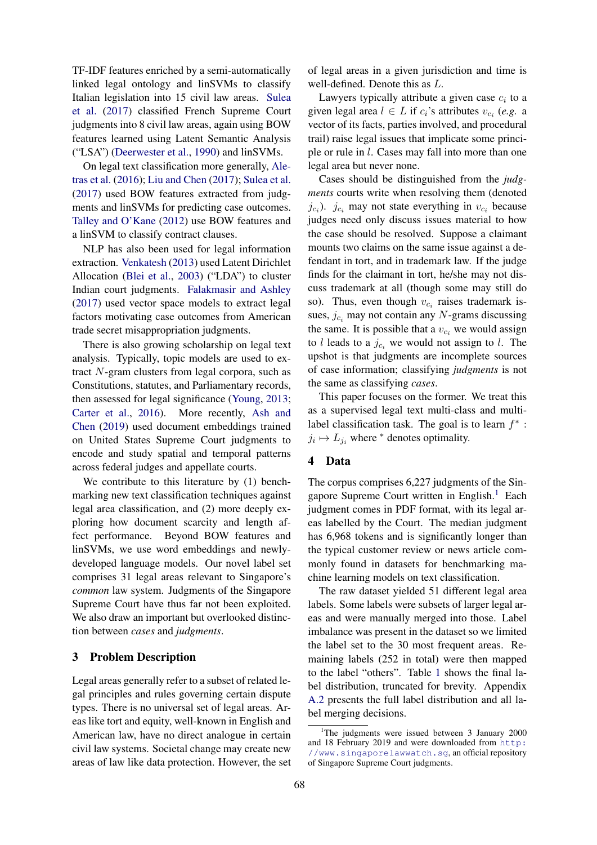TF-IDF features enriched by a semi-automatically linked legal ontology and linSVMs to classify Italian legislation into 15 civil law areas. [Sulea](#page-5-2) [et al.](#page-5-2) [\(2017\)](#page-5-2) classified French Supreme Court judgments into 8 civil law areas, again using BOW features learned using Latent Semantic Analysis ("LSA") [\(Deerwester et al.,](#page-5-3) [1990\)](#page-5-3) and linSVMs.

On legal text classification more generally, [Ale](#page-5-4)[tras et al.](#page-5-4) [\(2016\)](#page-5-4); [Liu and Chen](#page-5-5) [\(2017\)](#page-5-5); [Sulea et al.](#page-5-2) [\(2017\)](#page-5-2) used BOW features extracted from judgments and linSVMs for predicting case outcomes. [Talley and O'Kane](#page-6-0) [\(2012\)](#page-6-0) use BOW features and a linSVM to classify contract clauses.

NLP has also been used for legal information extraction. [Venkatesh](#page-6-1) [\(2013\)](#page-6-1) used Latent Dirichlet Allocation [\(Blei et al.,](#page-5-6) [2003\)](#page-5-6) ("LDA") to cluster Indian court judgments. [Falakmasir and Ashley](#page-5-7) [\(2017\)](#page-5-7) used vector space models to extract legal factors motivating case outcomes from American trade secret misappropriation judgments.

There is also growing scholarship on legal text analysis. Typically, topic models are used to extract N-gram clusters from legal corpora, such as Constitutions, statutes, and Parliamentary records, then assessed for legal significance [\(Young,](#page-6-2) [2013;](#page-6-2) [Carter et al.,](#page-5-8) [2016\)](#page-5-8). More recently, [Ash and](#page-5-9) [Chen](#page-5-9) [\(2019\)](#page-5-9) used document embeddings trained on United States Supreme Court judgments to encode and study spatial and temporal patterns across federal judges and appellate courts.

We contribute to this literature by (1) benchmarking new text classification techniques against legal area classification, and (2) more deeply exploring how document scarcity and length affect performance. Beyond BOW features and linSVMs, we use word embeddings and newlydeveloped language models. Our novel label set comprises 31 legal areas relevant to Singapore's *common* law system. Judgments of the Singapore Supreme Court have thus far not been exploited. We also draw an important but overlooked distinction between *cases* and *judgments*.

#### 3 Problem Description

Legal areas generally refer to a subset of related legal principles and rules governing certain dispute types. There is no universal set of legal areas. Areas like tort and equity, well-known in English and American law, have no direct analogue in certain civil law systems. Societal change may create new areas of law like data protection. However, the set of legal areas in a given jurisdiction and time is well-defined. Denote this as L.

Lawyers typically attribute a given case  $c_i$  to a given legal area  $l \in L$  if  $c_i$ 's attributes  $v_{c_i}$  (e.g. a vector of its facts, parties involved, and procedural trail) raise legal issues that implicate some principle or rule in l. Cases may fall into more than one legal area but never none.

Cases should be distinguished from the *judgments* courts write when resolving them (denoted  $j_{c_i}$ ).  $j_{c_i}$  may not state everything in  $v_{c_i}$  because judges need only discuss issues material to how the case should be resolved. Suppose a claimant mounts two claims on the same issue against a defendant in tort, and in trademark law. If the judge finds for the claimant in tort, he/she may not discuss trademark at all (though some may still do so). Thus, even though  $v_{c_i}$  raises trademark issues,  $j_{c_i}$  may not contain any N-grams discussing the same. It is possible that a  $v_{c_i}$  we would assign to l leads to a  $j_{c_i}$  we would not assign to l. The upshot is that judgments are incomplete sources of case information; classifying *judgments* is not the same as classifying *cases*.

This paper focuses on the former. We treat this as a supervised legal text multi-class and multilabel classification task. The goal is to learn  $f^*$ :  $j_i \mapsto L_{j_i}$  where  $^*$  denotes optimality.

## 4 Data

The corpus comprises 6,227 judgments of the Sin-gapore Supreme Court written in English.<sup>[1](#page-1-0)</sup> Each judgment comes in PDF format, with its legal areas labelled by the Court. The median judgment has 6,968 tokens and is significantly longer than the typical customer review or news article commonly found in datasets for benchmarking machine learning models on text classification.

The raw dataset yielded 51 different legal area labels. Some labels were subsets of larger legal areas and were manually merged into those. Label imbalance was present in the dataset so we limited the label set to the 30 most frequent areas. Remaining labels (252 in total) were then mapped to the label "others". Table [1](#page-2-0) shows the final label distribution, truncated for brevity. Appendix [A.2](#page-6-3) presents the full label distribution and all label merging decisions.

<span id="page-1-0"></span><sup>&</sup>lt;sup>1</sup>The judgments were issued between 3 January 2000 and 18 February 2019 and were downloaded from [http:](http://www.singaporelawwatch.sg) [//www.singaporelawwatch.sg](http://www.singaporelawwatch.sg), an official repository of Singapore Supreme Court judgments.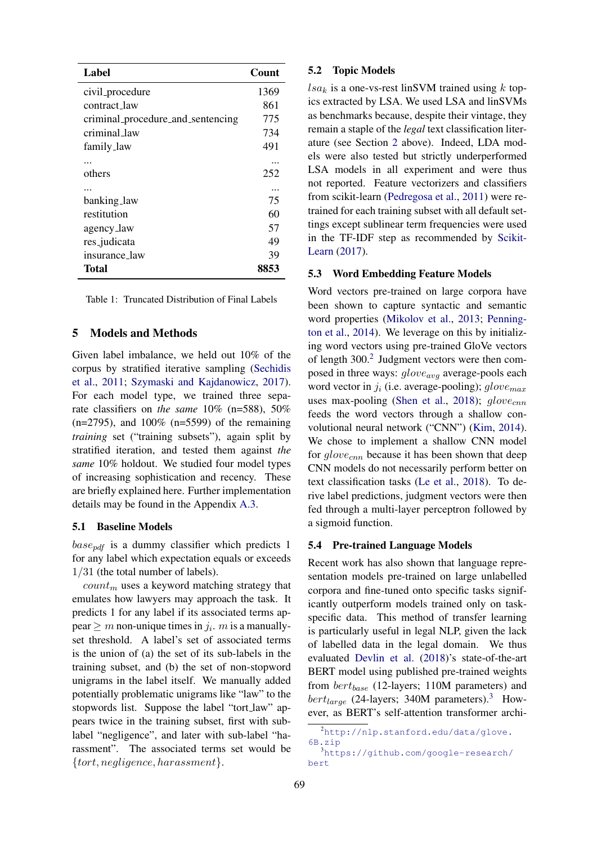<span id="page-2-0"></span>

| Label                             | Count |
|-----------------------------------|-------|
| civil_procedure                   | 1369  |
| contract law                      | 861   |
| criminal_procedure_and_sentencing | 775   |
| criminal_law                      | 734   |
| family_law                        | 491   |
|                                   |       |
| others                            | 252   |
|                                   |       |
| banking_law                       | 75    |
| restitution                       | 60    |
| agency_law                        | 57    |
| res_judicata                      | 49    |
| insurance_law                     | 39    |
| Total                             | 8853  |

Table 1: Truncated Distribution of Final Labels

#### 5 Models and Methods

Given label imbalance, we held out 10% of the corpus by stratified iterative sampling [\(Sechidis](#page-5-10) [et al.,](#page-5-10) [2011;](#page-5-10) [Szymaski and Kajdanowicz,](#page-6-4) [2017\)](#page-6-4). For each model type, we trained three separate classifiers on *the same* 10% (n=588), 50%  $(n=2795)$ , and  $100\%$   $(n=5599)$  of the remaining *training* set ("training subsets"), again split by stratified iteration, and tested them against *the same* 10% holdout. We studied four model types of increasing sophistication and recency. These are briefly explained here. Further implementation details may be found in the Appendix [A.3.](#page-6-5)

#### 5.1 Baseline Models

 $base_{ndf}$  is a dummy classifier which predicts 1 for any label which expectation equals or exceeds 1/31 (the total number of labels).

 $count_m$  uses a keyword matching strategy that emulates how lawyers may approach the task. It predicts 1 for any label if its associated terms appear  $\geq m$  non-unique times in  $j_i$ . m is a manuallyset threshold. A label's set of associated terms is the union of (a) the set of its sub-labels in the training subset, and (b) the set of non-stopword unigrams in the label itself. We manually added potentially problematic unigrams like "law" to the stopwords list. Suppose the label "tort law" appears twice in the training subset, first with sublabel "negligence", and later with sub-label "harassment". The associated terms set would be {tort, negligence, harassment}.

#### 5.2 Topic Models

 $lsa_k$  is a one-vs-rest linSVM trained using k topics extracted by LSA. We used LSA and linSVMs as benchmarks because, despite their vintage, they remain a staple of the *legal* text classification literature (see Section [2](#page-0-0) above). Indeed, LDA models were also tested but strictly underperformed LSA models in all experiment and were thus not reported. Feature vectorizers and classifiers from scikit-learn [\(Pedregosa et al.,](#page-5-11) [2011\)](#page-5-11) were retrained for each training subset with all default settings except sublinear term frequencies were used in the TF-IDF step as recommended by [Scikit-](#page-5-12)[Learn](#page-5-12) [\(2017\)](#page-5-12).

#### 5.3 Word Embedding Feature Models

Word vectors pre-trained on large corpora have been shown to capture syntactic and semantic word properties [\(Mikolov et al.,](#page-5-13) [2013;](#page-5-13) [Penning](#page-5-14)[ton et al.,](#page-5-14) [2014\)](#page-5-14). We leverage on this by initializing word vectors using pre-trained GloVe vectors of length 300.<sup>[2](#page-2-1)</sup> Judgment vectors were then composed in three ways:  $glove_{ava}$  average-pools each word vector in  $j_i$  (i.e. average-pooling);  $glove_{max}$ uses max-pooling [\(Shen et al.,](#page-5-15) [2018\)](#page-5-15);  $qlove_{cmn}$ feeds the word vectors through a shallow convolutional neural network ("CNN") [\(Kim,](#page-5-16) [2014\)](#page-5-16). We chose to implement a shallow CNN model for  $glove_{cnn}$  because it has been shown that deep CNN models do not necessarily perform better on text classification tasks [\(Le et al.,](#page-5-17) [2018\)](#page-5-17). To derive label predictions, judgment vectors were then fed through a multi-layer perceptron followed by a sigmoid function.

#### 5.4 Pre-trained Language Models

Recent work has also shown that language representation models pre-trained on large unlabelled corpora and fine-tuned onto specific tasks significantly outperform models trained only on taskspecific data. This method of transfer learning is particularly useful in legal NLP, given the lack of labelled data in the legal domain. We thus evaluated [Devlin et al.](#page-5-18) [\(2018\)](#page-5-18)'s state-of-the-art BERT model using published pre-trained weights from  $bert_{base}$  (12-layers; 110M parameters) and  $bert_{large}$  (24-layers; [3](#page-2-2)40M parameters).<sup>3</sup> However, as BERT's self-attention transformer archi-

<span id="page-2-1"></span><sup>2</sup>[http://nlp.stanford.edu/data/glove.](http://nlp.stanford.edu/data/glove.6B.zip) [6B.zip](http://nlp.stanford.edu/data/glove.6B.zip)

<span id="page-2-2"></span><sup>3</sup>[https://github.com/google-research/](https://github.com/google-research/bert) [bert](https://github.com/google-research/bert)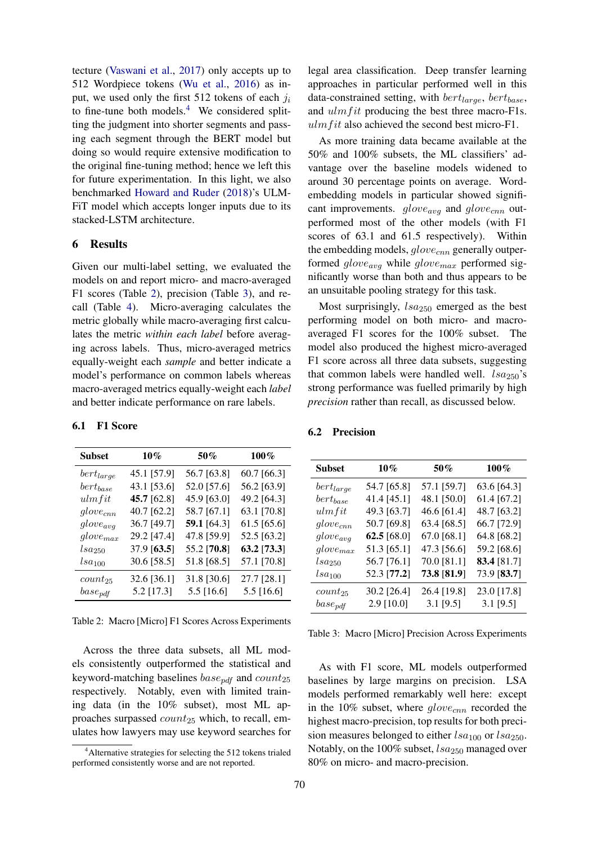tecture [\(Vaswani et al.,](#page-6-6) [2017\)](#page-6-6) only accepts up to 512 Wordpiece tokens [\(Wu et al.,](#page-6-7) [2016\)](#page-6-7) as input, we used only the first 512 tokens of each  $j_i$ to fine-tune both models.<sup>[4](#page-3-0)</sup> We considered splitting the judgment into shorter segments and passing each segment through the BERT model but doing so would require extensive modification to the original fine-tuning method; hence we left this for future experimentation. In this light, we also benchmarked [Howard and Ruder](#page-5-19) [\(2018\)](#page-5-19)'s ULM-FiT model which accepts longer inputs due to its stacked-LSTM architecture.

#### 6 Results

Given our multi-label setting, we evaluated the models on and report micro- and macro-averaged F1 scores (Table [2\)](#page-3-1), precision (Table [3\)](#page-3-2), and recall (Table [4\)](#page-4-0). Micro-averaging calculates the metric globally while macro-averaging first calculates the metric *within each label* before averaging across labels. Thus, micro-averaged metrics equally-weight each *sample* and better indicate a model's performance on common labels whereas macro-averaged metrics equally-weight each *label* and better indicate performance on rare labels.

6.1 F1 Score

<span id="page-3-1"></span>

| Subset         | $10\%$      | 50%          | $100\%$     |
|----------------|-------------|--------------|-------------|
| $bert_{large}$ | 45.1 [57.9] | 56.7 [63.8]  | 60.7 [66.3] |
| $bert_{base}$  | 43.1 [53.6] | 52.0 [57.6]  | 56.2 [63.9] |
| ulmfit         | 45.7 [62.8] | 45.9 [63.0]  | 49.2 [64.3] |
| $glove_{cnn}$  | 40.7 [62.2] | 58.7 [67.1]  | 63.1 [70.8] |
| $glove_{avg}$  | 36.7 [49.7] | 59.1 [64.3]  | 61.5 [65.6] |
| $glove_{max}$  | 29.2 [47.4] | 47.8 [59.9]  | 52.5 [63.2] |
| $lsa_{250}$    | 37.9 [63.5] | 55.2 [70.8]  | 63.2 [73.3] |
| $lsa_{100}$    | 30.6 [58.5] | 51.8 [68.5]  | 57.1 [70.8] |
| $count_{25}$   | 32.6 [36.1] | 31.8 [30.6]  | 27.7 [28.1] |
| $base_{pdf}$   | 5.2 [17.3]  | $5.5$ [16.6] | 5.5 [16.6]  |

Table 2: Macro [Micro] F1 Scores Across Experiments

Across the three data subsets, all ML models consistently outperformed the statistical and keyword-matching baselines  $base_{pdf}$  and  $count_{25}$ respectively. Notably, even with limited training data (in the 10% subset), most ML approaches surpassed  $count_{25}$  which, to recall, emulates how lawyers may use keyword searches for legal area classification. Deep transfer learning approaches in particular performed well in this data-constrained setting, with  $bert_{large}$ ,  $bert_{base}$ , and  $\mu$ lm fit producing the best three macro-F1s.  $ulmfit$  also achieved the second best micro-F1.

As more training data became available at the 50% and 100% subsets, the ML classifiers' advantage over the baseline models widened to around 30 percentage points on average. Wordembedding models in particular showed significant improvements.  $glove_{avg}$  and  $glove_{cnn}$  outperformed most of the other models (with F1 scores of 63.1 and 61.5 respectively). Within the embedding models,  $glove_{cnn}$  generally outperformed  $glove_{avg}$  while  $glove_{max}$  performed significantly worse than both and thus appears to be an unsuitable pooling strategy for this task.

Most surprisingly,  $1sa_{250}$  emerged as the best performing model on both micro- and macroaveraged F1 scores for the 100% subset. The model also produced the highest micro-averaged F1 score across all three data subsets, suggesting that common labels were handled well.  $lsa_{250}$ 's strong performance was fuelled primarily by high *precision* rather than recall, as discussed below.

<span id="page-3-2"></span>

| <b>Subset</b>      | $10\%$      | 50%         | 100%        |
|--------------------|-------------|-------------|-------------|
| $bert_{large}$     | 54.7 [65.8] | 57.1 [59.7] | 63.6 [64.3] |
| $bert_{base}$      | 41.4 [45.1] | 48.1 [50.0] | 61.4 [67.2] |
| ulmfit             | 49.3 [63.7] | 46.6 [61.4] | 48.7 [63.2] |
| $glove_{cnn}$      | 50.7 [69.8] | 63.4 [68.5] | 66.7 [72.9] |
| $glove_{avg}$      | 62.5 [68.0] | 67.0 [68.1] | 64.8 [68.2] |
| $glove_{max}$      | 51.3 [65.1] | 47.3 [56.6] | 59.2 [68.6] |
| lsa <sub>250</sub> | 56.7 [76.1] | 70.0 [81.1] | 83.4 [81.7] |
| $lsa_{100}$        | 52.3 [77.2] | 73.8 [81.9] | 73.9 [83.7] |
| $count_{25}$       | 30.2 [26.4] | 26.4 [19.8] | 23.0 [17.8] |
| $base_{pdf}$       | 2.9 [10.0]  | $3.1$ [9.5] | $3.1$ [9.5] |

6.2 Precision

Table 3: Macro [Micro] Precision Across Experiments

As with F1 score, ML models outperformed baselines by large margins on precision. LSA models performed remarkably well here: except in the 10% subset, where  $glove_{cnn}$  recorded the highest macro-precision, top results for both precision measures belonged to either  $lsa_{100}$  or  $lsa_{250}$ . Notably, on the 100% subset,  $lsa_{250}$  managed over 80% on micro- and macro-precision.

<span id="page-3-0"></span> $4$ Alternative strategies for selecting the 512 tokens trialed performed consistently worse and are not reported.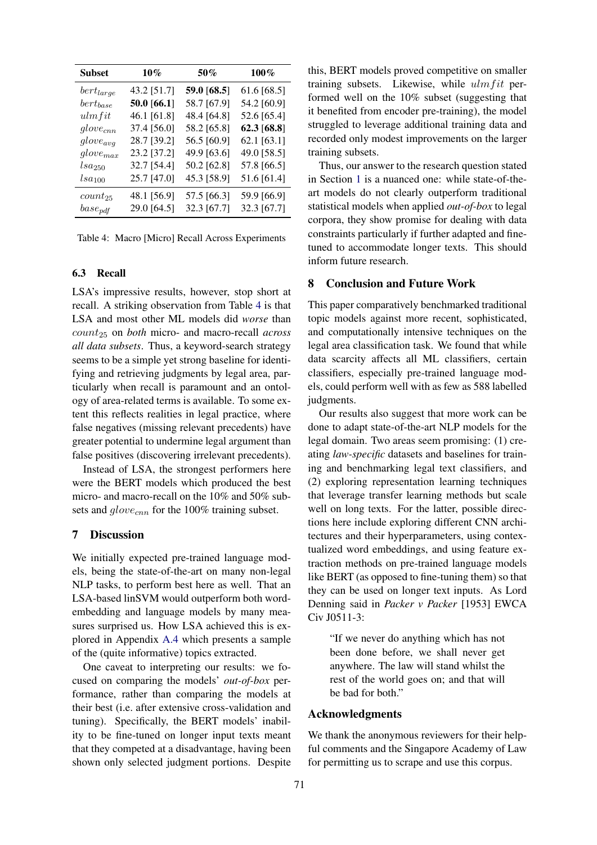<span id="page-4-0"></span>

| <b>Subset</b>  | $10\%$      | 50%         | $100\%$     |
|----------------|-------------|-------------|-------------|
| $bert_{large}$ | 43.2 [51.7] | 59.0 [68.5] | 61.6 [68.5] |
| $bert_{base}$  | 50.0 [66.1] | 58.7 [67.9] | 54.2 [60.9] |
| ulmfit         | 46.1 [61.8] | 48.4 [64.8] | 52.6 [65.4] |
| $glove_{cnn}$  | 37.4 [56.0] | 58.2 [65.8] | 62.3 [68.8] |
| $glove_{avg}$  | 28.7 [39.2] | 56.5 [60.9] | 62.1 [63.1] |
| $glove_{max}$  | 23.2 [37.2] | 49.9 [63.6] | 49.0 [58.5] |
| $_{lsa_{250}}$ | 32.7 [54.4] | 50.2 [62.8] | 57.8 [66.5] |
| $lsa_{100}$    | 25.7 [47.0] | 45.3 [58.9] | 51.6 [61.4] |
| $count_{25}$   | 48.1 [56.9] | 57.5 [66.3] | 59.9 [66.9] |
| $base_{pdf}$   | 29.0 [64.5] | 32.3 [67.7] | 32.3 [67.7] |

|  |  |  |  |  | Table 4: Macro [Micro] Recall Across Experiments |
|--|--|--|--|--|--------------------------------------------------|
|--|--|--|--|--|--------------------------------------------------|

#### 6.3 Recall

LSA's impressive results, however, stop short at recall. A striking observation from Table [4](#page-4-0) is that LSA and most other ML models did *worse* than count<sup>25</sup> on *both* micro- and macro-recall *across all data subsets*. Thus, a keyword-search strategy seems to be a simple yet strong baseline for identifying and retrieving judgments by legal area, particularly when recall is paramount and an ontology of area-related terms is available. To some extent this reflects realities in legal practice, where false negatives (missing relevant precedents) have greater potential to undermine legal argument than false positives (discovering irrelevant precedents).

Instead of LSA, the strongest performers here were the BERT models which produced the best micro- and macro-recall on the 10% and 50% subsets and  $glove_{cnn}$  for the 100% training subset.

### 7 Discussion

We initially expected pre-trained language models, being the state-of-the-art on many non-legal NLP tasks, to perform best here as well. That an LSA-based linSVM would outperform both wordembedding and language models by many measures surprised us. How LSA achieved this is explored in Appendix [A.4](#page-9-0) which presents a sample of the (quite informative) topics extracted.

One caveat to interpreting our results: we focused on comparing the models' *out-of-box* performance, rather than comparing the models at their best (i.e. after extensive cross-validation and tuning). Specifically, the BERT models' inability to be fine-tuned on longer input texts meant that they competed at a disadvantage, having been shown only selected judgment portions. Despite

this, BERT models proved competitive on smaller training subsets. Likewise, while  $ulmfit$  performed well on the 10% subset (suggesting that it benefited from encoder pre-training), the model struggled to leverage additional training data and recorded only modest improvements on the larger training subsets.

Thus, our answer to the research question stated in Section [1](#page-0-1) is a nuanced one: while state-of-theart models do not clearly outperform traditional statistical models when applied *out-of-box* to legal corpora, they show promise for dealing with data constraints particularly if further adapted and finetuned to accommodate longer texts. This should inform future research.

#### 8 Conclusion and Future Work

This paper comparatively benchmarked traditional topic models against more recent, sophisticated, and computationally intensive techniques on the legal area classification task. We found that while data scarcity affects all ML classifiers, certain classifiers, especially pre-trained language models, could perform well with as few as 588 labelled judgments.

Our results also suggest that more work can be done to adapt state-of-the-art NLP models for the legal domain. Two areas seem promising: (1) creating *law-specific* datasets and baselines for training and benchmarking legal text classifiers, and (2) exploring representation learning techniques that leverage transfer learning methods but scale well on long texts. For the latter, possible directions here include exploring different CNN architectures and their hyperparameters, using contextualized word embeddings, and using feature extraction methods on pre-trained language models like BERT (as opposed to fine-tuning them) so that they can be used on longer text inputs. As Lord Denning said in *Packer v Packer* [1953] EWCA Civ J0511-3:

"If we never do anything which has not been done before, we shall never get anywhere. The law will stand whilst the rest of the world goes on; and that will be bad for both."

#### Acknowledgments

We thank the anonymous reviewers for their helpful comments and the Singapore Academy of Law for permitting us to scrape and use this corpus.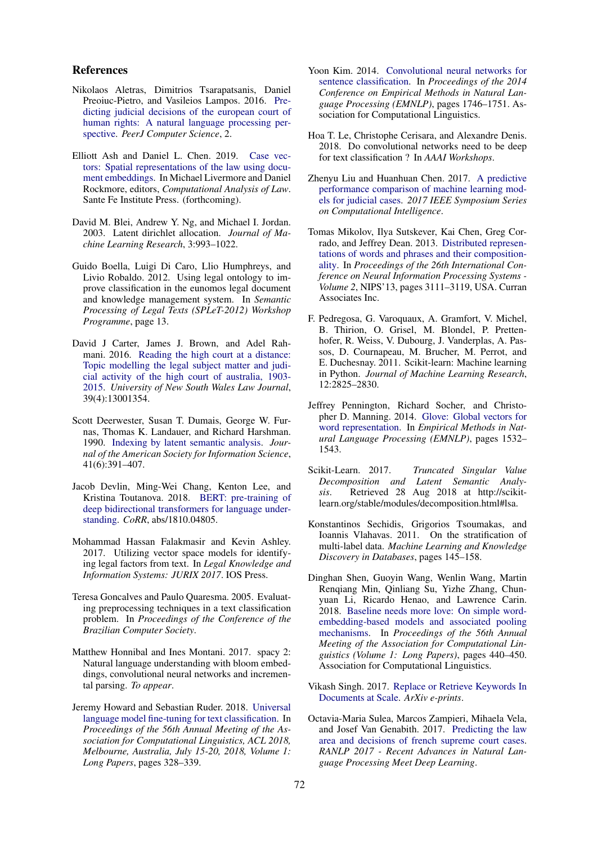#### References

- <span id="page-5-4"></span>Nikolaos Aletras, Dimitrios Tsarapatsanis, Daniel Preoiuc-Pietro, and Vasileios Lampos. 2016. [Pre](https://doi.org/10.7717/peerj-cs.93)[dicting judicial decisions of the european court of](https://doi.org/10.7717/peerj-cs.93) [human rights: A natural language processing per](https://doi.org/10.7717/peerj-cs.93)[spective.](https://doi.org/10.7717/peerj-cs.93) *PeerJ Computer Science*, 2.
- <span id="page-5-9"></span>Elliott Ash and Daniel L. Chen. 2019. [Case vec](https://ssrn.com/abstract=3204926)[tors: Spatial representations of the law using docu](https://ssrn.com/abstract=3204926)[ment embeddings.](https://ssrn.com/abstract=3204926) In Michael Livermore and Daniel Rockmore, editors, *Computational Analysis of Law*. Sante Fe Institute Press. (forthcoming).
- <span id="page-5-6"></span>David M. Blei, Andrew Y. Ng, and Michael I. Jordan. 2003. Latent dirichlet allocation. *Journal of Machine Learning Research*, 3:993–1022.
- <span id="page-5-1"></span>Guido Boella, Luigi Di Caro, Llio Humphreys, and Livio Robaldo. 2012. Using legal ontology to improve classification in the eunomos legal document and knowledge management system. In *Semantic Processing of Legal Texts (SPLeT-2012) Workshop Programme*, page 13.
- <span id="page-5-8"></span>David J Carter, James J. Brown, and Adel Rahmani. 2016. [Reading the high court at a distance:](https://doi.org/10.31228/osf.io/qhezc) [Topic modelling the legal subject matter and judi](https://doi.org/10.31228/osf.io/qhezc)[cial activity of the high court of australia, 1903-](https://doi.org/10.31228/osf.io/qhezc) [2015.](https://doi.org/10.31228/osf.io/qhezc) *University of New South Wales Law Journal*, 39(4):13001354.
- <span id="page-5-3"></span>Scott Deerwester, Susan T. Dumais, George W. Furnas, Thomas K. Landauer, and Richard Harshman. 1990. [Indexing by latent semantic analysis.](https://doi.org/10.1002/(SICI)1097-4571(199009)41:6<391::AID-ASI1>3.0.CO;2-9) *Journal of the American Society for Information Science*, 41(6):391–407.
- <span id="page-5-18"></span>Jacob Devlin, Ming-Wei Chang, Kenton Lee, and Kristina Toutanova. 2018. [BERT: pre-training of](http://arxiv.org/abs/1810.04805) [deep bidirectional transformers for language under](http://arxiv.org/abs/1810.04805)[standing.](http://arxiv.org/abs/1810.04805) *CoRR*, abs/1810.04805.
- <span id="page-5-7"></span>Mohammad Hassan Falakmasir and Kevin Ashley. 2017. Utilizing vector space models for identifying legal factors from text. In *Legal Knowledge and Information Systems: JURIX 2017*. IOS Press.
- <span id="page-5-0"></span>Teresa Goncalves and Paulo Quaresma. 2005. Evaluating preprocessing techniques in a text classification problem. In *Proceedings of the Conference of the Brazilian Computer Society*.
- <span id="page-5-20"></span>Matthew Honnibal and Ines Montani. 2017. spacy 2: Natural language understanding with bloom embeddings, convolutional neural networks and incremental parsing. *To appear*.
- <span id="page-5-19"></span>Jeremy Howard and Sebastian Ruder. 2018. [Universal](https://aclanthology.info/papers/P18-1031/p18-1031) [language model fine-tuning for text classification.](https://aclanthology.info/papers/P18-1031/p18-1031) In *Proceedings of the 56th Annual Meeting of the Association for Computational Linguistics, ACL 2018, Melbourne, Australia, July 15-20, 2018, Volume 1: Long Papers*, pages 328–339.
- <span id="page-5-16"></span>Yoon Kim. 2014. [Convolutional neural networks for](https://doi.org/10.3115/v1/D14-1181) [sentence classification.](https://doi.org/10.3115/v1/D14-1181) In *Proceedings of the 2014 Conference on Empirical Methods in Natural Language Processing (EMNLP)*, pages 1746–1751. Association for Computational Linguistics.
- <span id="page-5-17"></span>Hoa T. Le, Christophe Cerisara, and Alexandre Denis. 2018. Do convolutional networks need to be deep for text classification ? In *AAAI Workshops*.
- <span id="page-5-5"></span>Zhenyu Liu and Huanhuan Chen. 2017. [A predictive](https://doi.org/10.1109/ssci.2017.8285436) [performance comparison of machine learning mod](https://doi.org/10.1109/ssci.2017.8285436)[els for judicial cases.](https://doi.org/10.1109/ssci.2017.8285436) *2017 IEEE Symposium Series on Computational Intelligence*.
- <span id="page-5-13"></span>Tomas Mikolov, Ilya Sutskever, Kai Chen, Greg Corrado, and Jeffrey Dean. 2013. [Distributed represen](http://dl.acm.org/citation.cfm?id=2999792.2999959)[tations of words and phrases and their composition](http://dl.acm.org/citation.cfm?id=2999792.2999959)[ality.](http://dl.acm.org/citation.cfm?id=2999792.2999959) In *Proceedings of the 26th International Conference on Neural Information Processing Systems - Volume 2*, NIPS'13, pages 3111–3119, USA. Curran Associates Inc.
- <span id="page-5-11"></span>F. Pedregosa, G. Varoquaux, A. Gramfort, V. Michel, B. Thirion, O. Grisel, M. Blondel, P. Prettenhofer, R. Weiss, V. Dubourg, J. Vanderplas, A. Passos, D. Cournapeau, M. Brucher, M. Perrot, and E. Duchesnay. 2011. Scikit-learn: Machine learning in Python. *Journal of Machine Learning Research*, 12:2825–2830.
- <span id="page-5-14"></span>Jeffrey Pennington, Richard Socher, and Christopher D. Manning. 2014. [Glove: Global vectors for](http://www.aclweb.org/anthology/D14-1162) [word representation.](http://www.aclweb.org/anthology/D14-1162) In *Empirical Methods in Natural Language Processing (EMNLP)*, pages 1532– 1543.
- <span id="page-5-12"></span>Scikit-Learn. 2017. *Truncated Singular Value Decomposition and Latent Semantic Analysis*. Retrieved 28 Aug 2018 at http://scikitlearn.org/stable/modules/decomposition.html#lsa.
- <span id="page-5-10"></span>Konstantinos Sechidis, Grigorios Tsoumakas, and Ioannis Vlahavas. 2011. On the stratification of multi-label data. *Machine Learning and Knowledge Discovery in Databases*, pages 145–158.
- <span id="page-5-15"></span>Dinghan Shen, Guoyin Wang, Wenlin Wang, Martin Renqiang Min, Qinliang Su, Yizhe Zhang, Chunyuan Li, Ricardo Henao, and Lawrence Carin. 2018. [Baseline needs more love: On simple word](http://aclweb.org/anthology/P18-1041)[embedding-based models and associated pooling](http://aclweb.org/anthology/P18-1041) [mechanisms.](http://aclweb.org/anthology/P18-1041) In *Proceedings of the 56th Annual Meeting of the Association for Computational Linguistics (Volume 1: Long Papers)*, pages 440–450. Association for Computational Linguistics.
- <span id="page-5-21"></span>Vikash Singh. 2017. [Replace or Retrieve Keywords In](http://arxiv.org/abs/1711.00046) [Documents at Scale.](http://arxiv.org/abs/1711.00046) *ArXiv e-prints*.
- <span id="page-5-2"></span>Octavia-Maria Sulea, Marcos Zampieri, Mihaela Vela, and Josef Van Genabith. 2017. [Predicting the law](https://doi.org/10.26615/978-954-452-049-6_092) [area and decisions of french supreme court cases.](https://doi.org/10.26615/978-954-452-049-6_092) *RANLP 2017 - Recent Advances in Natural Language Processing Meet Deep Learning*.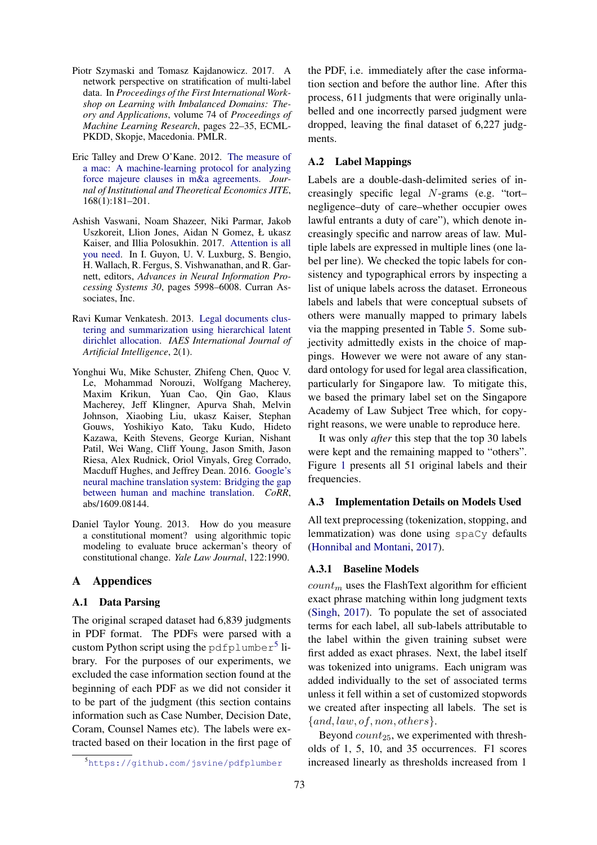- <span id="page-6-4"></span>Piotr Szymaski and Tomasz Kajdanowicz. 2017. A network perspective on stratification of multi-label data. In *Proceedings of the First International Workshop on Learning with Imbalanced Domains: Theory and Applications*, volume 74 of *Proceedings of Machine Learning Research*, pages 22–35, ECML-PKDD, Skopje, Macedonia. PMLR.
- <span id="page-6-0"></span>Eric Talley and Drew O'Kane. 2012. [The measure of](https://doi.org/10.1628/093245612799440140) [a mac: A machine-learning protocol for analyzing](https://doi.org/10.1628/093245612799440140) [force majeure clauses in m&a agreements.](https://doi.org/10.1628/093245612799440140) *Journal of Institutional and Theoretical Economics JITE*, 168(1):181–201.
- <span id="page-6-6"></span>Ashish Vaswani, Noam Shazeer, Niki Parmar, Jakob Uszkoreit, Llion Jones, Aidan N Gomez, Ł ukasz Kaiser, and Illia Polosukhin. 2017. [Attention is all](http://papers.nips.cc/paper/7181-attention-is-all-you-need.pdf) [you need.](http://papers.nips.cc/paper/7181-attention-is-all-you-need.pdf) In I. Guyon, U. V. Luxburg, S. Bengio, H. Wallach, R. Fergus, S. Vishwanathan, and R. Garnett, editors, *Advances in Neural Information Processing Systems 30*, pages 5998–6008. Curran Associates, Inc.
- <span id="page-6-1"></span>Ravi Kumar Venkatesh. 2013. [Legal documents clus](https://doi.org/10.11591/ij-ai.v2i1.1186)[tering and summarization using hierarchical latent](https://doi.org/10.11591/ij-ai.v2i1.1186) [dirichlet allocation.](https://doi.org/10.11591/ij-ai.v2i1.1186) *IAES International Journal of Artificial Intelligence*, 2(1).
- <span id="page-6-7"></span>Yonghui Wu, Mike Schuster, Zhifeng Chen, Quoc V. Le, Mohammad Norouzi, Wolfgang Macherey, Maxim Krikun, Yuan Cao, Qin Gao, Klaus Macherey, Jeff Klingner, Apurva Shah, Melvin Johnson, Xiaobing Liu, ukasz Kaiser, Stephan Gouws, Yoshikiyo Kato, Taku Kudo, Hideto Kazawa, Keith Stevens, George Kurian, Nishant Patil, Wei Wang, Cliff Young, Jason Smith, Jason Riesa, Alex Rudnick, Oriol Vinyals, Greg Corrado, Macduff Hughes, and Jeffrey Dean. 2016. [Google's](http://arxiv.org/abs/1609.08144) [neural machine translation system: Bridging the gap](http://arxiv.org/abs/1609.08144) [between human and machine translation.](http://arxiv.org/abs/1609.08144) *CoRR*, abs/1609.08144.
- <span id="page-6-2"></span>Daniel Taylor Young. 2013. How do you measure a constitutional moment? using algorithmic topic modeling to evaluate bruce ackerman's theory of constitutional change. *Yale Law Journal*, 122:1990.

## A Appendices

#### A.1 Data Parsing

The original scraped dataset had 6,839 judgments in PDF format. The PDFs were parsed with a custom Python script using the pdfplumber<sup>[5](#page-6-8)</sup> library. For the purposes of our experiments, we excluded the case information section found at the beginning of each PDF as we did not consider it to be part of the judgment (this section contains information such as Case Number, Decision Date, Coram, Counsel Names etc). The labels were extracted based on their location in the first page of

the PDF, i.e. immediately after the case information section and before the author line. After this process, 611 judgments that were originally unlabelled and one incorrectly parsed judgment were dropped, leaving the final dataset of 6,227 judgments.

## <span id="page-6-3"></span>A.2 Label Mappings

Labels are a double-dash-delimited series of increasingly specific legal N-grams (e.g. "tort– negligence–duty of care–whether occupier owes lawful entrants a duty of care"), which denote increasingly specific and narrow areas of law. Multiple labels are expressed in multiple lines (one label per line). We checked the topic labels for consistency and typographical errors by inspecting a list of unique labels across the dataset. Erroneous labels and labels that were conceptual subsets of others were manually mapped to primary labels via the mapping presented in Table [5.](#page-7-0) Some subjectivity admittedly exists in the choice of mappings. However we were not aware of any standard ontology for used for legal area classification, particularly for Singapore law. To mitigate this, we based the primary label set on the Singapore Academy of Law Subject Tree which, for copyright reasons, we were unable to reproduce here.

It was only *after* this step that the top 30 labels were kept and the remaining mapped to "others". Figure [1](#page-8-0) presents all 51 original labels and their frequencies.

### <span id="page-6-5"></span>A.3 Implementation Details on Models Used

All text preprocessing (tokenization, stopping, and lemmatization) was done using spaCy defaults [\(Honnibal and Montani,](#page-5-20) [2017\)](#page-5-20).

#### A.3.1 Baseline Models

 $count_m$  uses the FlashText algorithm for efficient exact phrase matching within long judgment texts [\(Singh,](#page-5-21) [2017\)](#page-5-21). To populate the set of associated terms for each label, all sub-labels attributable to the label within the given training subset were first added as exact phrases. Next, the label itself was tokenized into unigrams. Each unigram was added individually to the set of associated terms unless it fell within a set of customized stopwords we created after inspecting all labels. The set is  $\{and, law, of, non, others\}.$ 

Beyond  $count_{25}$ , we experimented with thresholds of 1, 5, 10, and 35 occurrences. F1 scores increased linearly as thresholds increased from 1

<span id="page-6-8"></span><sup>5</sup><https://github.com/jsvine/pdfplumber>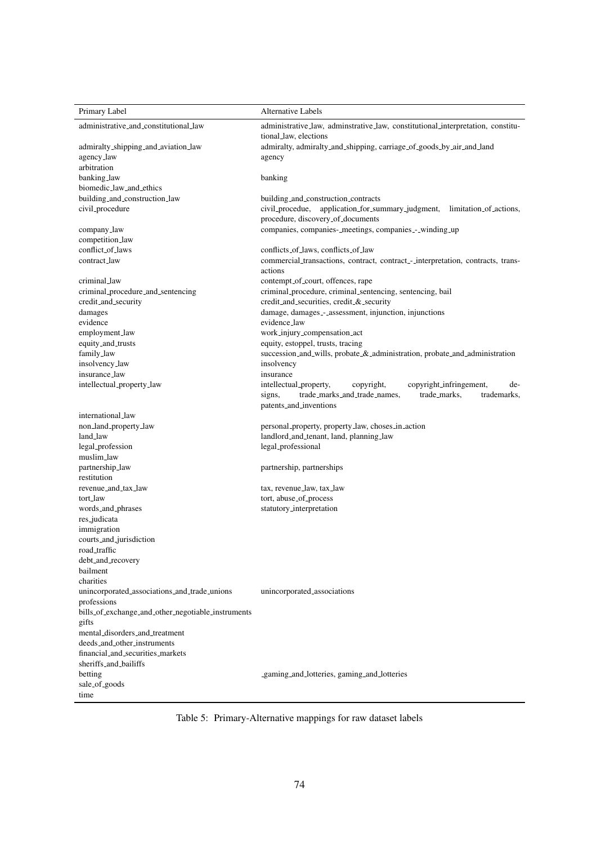<span id="page-7-0"></span>

| Primary Label                                               | Alternative Labels                                                                                                                                                        |
|-------------------------------------------------------------|---------------------------------------------------------------------------------------------------------------------------------------------------------------------------|
| administrative_and_constitutional_law                       | administrative_law, adminstrative_law, constitutional_interpretation, constitu-                                                                                           |
|                                                             | tional_law, elections                                                                                                                                                     |
| admiralty_shipping_and_aviation_law                         | admiralty, admiralty_and_shipping, carriage_of_goods_by_air_and_land                                                                                                      |
| agency_law                                                  | agency                                                                                                                                                                    |
| arbitration                                                 |                                                                                                                                                                           |
| banking_law<br>biomedic_law_and_ethics                      | banking                                                                                                                                                                   |
|                                                             |                                                                                                                                                                           |
| building_and_construction_law<br>civil_procedure            | building_and_construction_contracts<br>civil_procedue, application_for_summary_judgment, limitation_of_actions,                                                           |
|                                                             | procedure, discovery_of_documents                                                                                                                                         |
| company_law                                                 | companies, companies-_meetings, companies_-_winding_up                                                                                                                    |
| competition_law                                             |                                                                                                                                                                           |
| conflict_of_laws                                            | conflicts_of_laws, conflicts_of_law                                                                                                                                       |
| contract_law                                                | commercial_transactions, contract, contract_-_interpretation, contracts, trans-                                                                                           |
|                                                             | actions                                                                                                                                                                   |
| criminal_law                                                | contempt_of_court, offences, rape                                                                                                                                         |
| criminal_procedure_and_sentencing                           | criminal_procedure, criminal_sentencing, sentencing, bail                                                                                                                 |
| credit_and_security                                         | credit_and_securities, credit_&_security                                                                                                                                  |
| damages                                                     | damage, damages_-_assessment, injunction, injunctions                                                                                                                     |
| evidence                                                    | evidence_law                                                                                                                                                              |
| employment_law                                              | work_injury_compensation_act                                                                                                                                              |
| equity_and_trusts                                           | equity, estoppel, trusts, tracing                                                                                                                                         |
| family_law                                                  | succession_and_wills, probate_&_administration, probate_and_administration                                                                                                |
| insolvency_law                                              | insolvency                                                                                                                                                                |
| insurance_law                                               | insurance                                                                                                                                                                 |
| intellectual_property_law                                   | intellectual_property,<br>copyright,<br>copyright_infringement,<br>de-<br>trade_marks_and_trade_names,<br>trade_marks.<br>trademarks,<br>signs,<br>patents_and_inventions |
| international_law                                           |                                                                                                                                                                           |
| non_land_property_law                                       | personal_property, property_law, choses_in_action                                                                                                                         |
| land_law                                                    | landlord_and_tenant, land, planning_law                                                                                                                                   |
| legal_profession                                            | legal_professional                                                                                                                                                        |
| muslim_law                                                  |                                                                                                                                                                           |
| partnership_law                                             | partnership, partnerships                                                                                                                                                 |
| restitution                                                 |                                                                                                                                                                           |
| revenue_and_tax_law                                         | tax, revenue_law, tax_law                                                                                                                                                 |
| tort_law                                                    | tort, abuse_of_process                                                                                                                                                    |
| words_and_phrases                                           | statutory_interpretation                                                                                                                                                  |
| res_judicata                                                |                                                                                                                                                                           |
| immigration                                                 |                                                                                                                                                                           |
| courts_and_jurisdiction                                     |                                                                                                                                                                           |
| road_traffic                                                |                                                                                                                                                                           |
| debt_and_recovery                                           |                                                                                                                                                                           |
| bailment                                                    |                                                                                                                                                                           |
| charities                                                   |                                                                                                                                                                           |
| unincorporated_associations_and_trade_unions                | unincorporated_associations                                                                                                                                               |
| professions                                                 |                                                                                                                                                                           |
| bills_of_exchange_and_other_negotiable_instruments<br>gifts |                                                                                                                                                                           |
| mental_disorders_and_treatment                              |                                                                                                                                                                           |
| deeds_and_other_instruments                                 |                                                                                                                                                                           |
| financial_and_securities_markets                            |                                                                                                                                                                           |
| sheriffs_and_bailiffs                                       |                                                                                                                                                                           |
| betting                                                     | _gaming_and_lotteries, gaming_and_lotteries                                                                                                                               |
| sale_of_goods                                               |                                                                                                                                                                           |
| time                                                        |                                                                                                                                                                           |

Table 5: Primary-Alternative mappings for raw dataset labels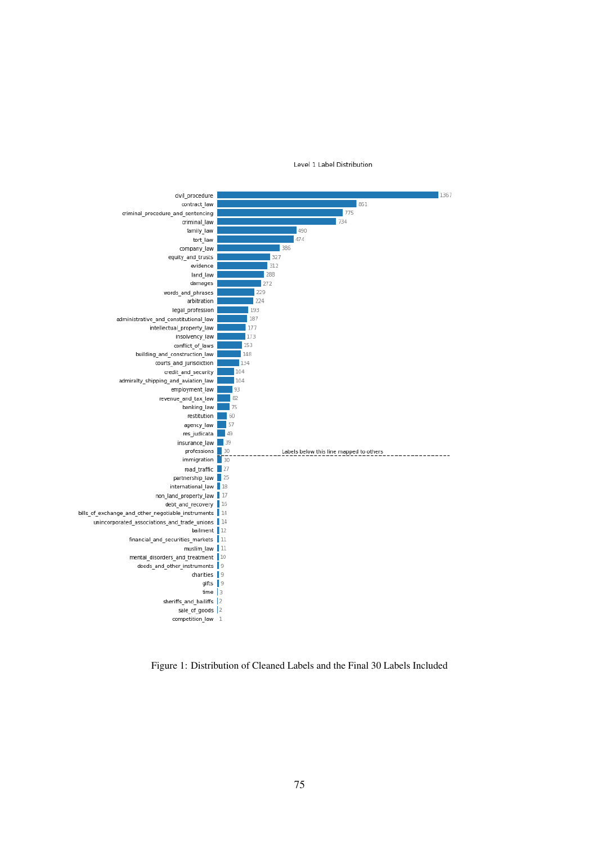Level 1 Label Distribution

<span id="page-8-0"></span>

Figure 1: Distribution of Cleaned Labels and the Final 30 Labels Included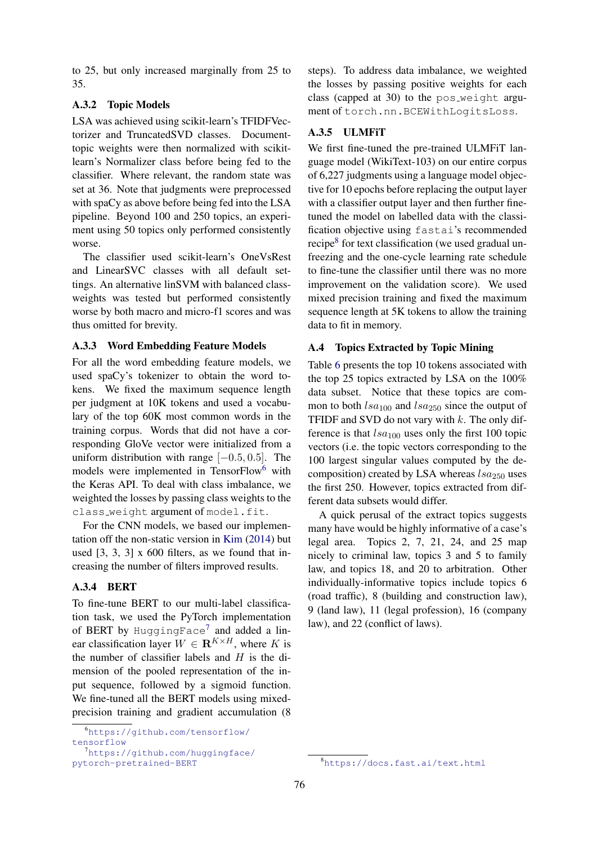to 25, but only increased marginally from 25 to 35.

## A.3.2 Topic Models

LSA was achieved using scikit-learn's TFIDFVectorizer and TruncatedSVD classes. Documenttopic weights were then normalized with scikitlearn's Normalizer class before being fed to the classifier. Where relevant, the random state was set at 36. Note that judgments were preprocessed with spaCy as above before being fed into the LSA pipeline. Beyond 100 and 250 topics, an experiment using 50 topics only performed consistently worse.

The classifier used scikit-learn's OneVsRest and LinearSVC classes with all default settings. An alternative linSVM with balanced classweights was tested but performed consistently worse by both macro and micro-f1 scores and was thus omitted for brevity.

### A.3.3 Word Embedding Feature Models

For all the word embedding feature models, we used spaCy's tokenizer to obtain the word tokens. We fixed the maximum sequence length per judgment at 10K tokens and used a vocabulary of the top 60K most common words in the training corpus. Words that did not have a corresponding GloVe vector were initialized from a uniform distribution with range  $[-0.5, 0.5]$ . The models were implemented in TensorFlow<sup>[6](#page-9-1)</sup> with the Keras API. To deal with class imbalance, we weighted the losses by passing class weights to the class\_weight argument of model.fit.

For the CNN models, we based our implementation off the non-static version in [Kim](#page-5-16) [\(2014\)](#page-5-16) but used  $[3, 3, 3]$  x 600 filters, as we found that increasing the number of filters improved results.

## A.3.4 BERT

To fine-tune BERT to our multi-label classification task, we used the PyTorch implementation of BERT by HuggingFace<sup>[7](#page-9-2)</sup> and added a linear classification layer  $W \in \mathbb{R}^{K \times H}$ , where K is the number of classifier labels and  $H$  is the dimension of the pooled representation of the input sequence, followed by a sigmoid function. We fine-tuned all the BERT models using mixedprecision training and gradient accumulation (8

<span id="page-9-1"></span><sup>6</sup>[https://github.com/tensorflow/](https://github.com/tensorflow/tensorflow) [tensorflow](https://github.com/tensorflow/tensorflow)

steps). To address data imbalance, we weighted the losses by passing positive weights for each class (capped at 30) to the pos weight argument of torch.nn.BCEWithLogitsLoss.

## A.3.5 ULMFiT

We first fine-tuned the pre-trained ULMFiT language model (WikiText-103) on our entire corpus of 6,227 judgments using a language model objective for 10 epochs before replacing the output layer with a classifier output layer and then further finetuned the model on labelled data with the classification objective using fastai's recommended recipe<sup>[8](#page-9-3)</sup> for text classification (we used gradual unfreezing and the one-cycle learning rate schedule to fine-tune the classifier until there was no more improvement on the validation score). We used mixed precision training and fixed the maximum sequence length at 5K tokens to allow the training data to fit in memory.

#### <span id="page-9-0"></span>A.4 Topics Extracted by Topic Mining

Table [6](#page-10-0) presents the top 10 tokens associated with the top 25 topics extracted by LSA on the 100% data subset. Notice that these topics are common to both  $lsa_{100}$  and  $lsa_{250}$  since the output of TFIDF and SVD do not vary with  $k$ . The only difference is that  $lsa_{100}$  uses only the first 100 topic vectors (i.e. the topic vectors corresponding to the 100 largest singular values computed by the decomposition) created by LSA whereas  $lsa_{250}$  uses the first 250. However, topics extracted from different data subsets would differ.

A quick perusal of the extract topics suggests many have would be highly informative of a case's legal area. Topics 2, 7, 21, 24, and 25 map nicely to criminal law, topics 3 and 5 to family law, and topics 18, and 20 to arbitration. Other individually-informative topics include topics 6 (road traffic), 8 (building and construction law), 9 (land law), 11 (legal profession), 16 (company law), and 22 (conflict of laws).

<span id="page-9-2"></span><sup>7</sup>[https://github.com/huggingface/](https://github.com/huggingface/pytorch-pretrained-BERT) [pytorch-pretrained-BERT](https://github.com/huggingface/pytorch-pretrained-BERT)

<span id="page-9-3"></span><sup>8</sup><https://docs.fast.ai/text.html>